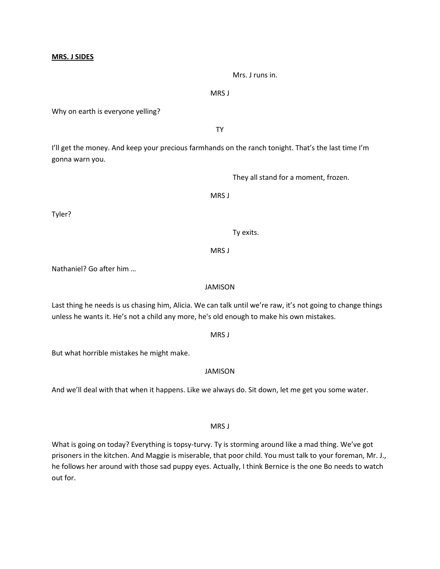#### **MRS. J SIDES**

Mrs. J runs in.

MRS J

Why on earth is everyone yelling?

TY

I'll get the money. And keep your precious farmhands on the ranch tonight. That's the last time I'm gonna warn you.

They all stand for a moment, frozen.

MRS J

Tyler?

Ty exits.

MRS J

Nathaniel? Go after him …

#### JAMISON

Last thing he needs is us chasing him, Alicia. We can talk until we're raw, it's not going to change things unless he wants it. He's not a child any more, he's old enough to make his own mistakes.

MRS J

But what horrible mistakes he might make.

# JAMISON

And we'll deal with that when it happens. Like we always do. Sit down, let me get you some water.

MRS J

What is going on today? Everything is topsy-turvy. Ty is storming around like a mad thing. We've got prisoners in the kitchen. And Maggie is miserable, that poor child. You must talk to your foreman, Mr. J., he follows her around with those sad puppy eyes. Actually, I think Bernice is the one Bo needs to watch out for.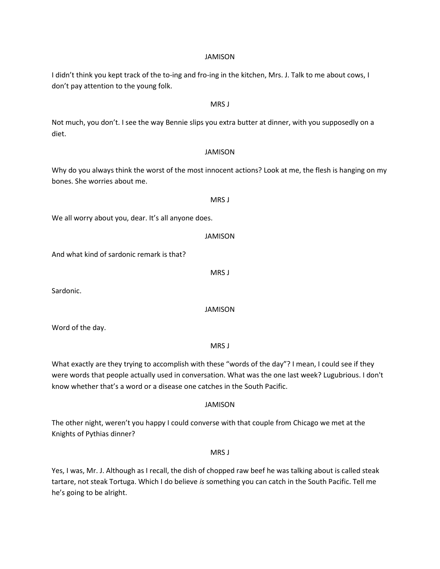#### JAMISON

I didn't think you kept track of the to-ing and fro-ing in the kitchen, Mrs. J. Talk to me about cows, I don't pay attention to the young folk.

#### MRS J

Not much, you don't. I see the way Bennie slips you extra butter at dinner, with you supposedly on a diet.

#### JAMISON

Why do you always think the worst of the most innocent actions? Look at me, the flesh is hanging on my bones. She worries about me.

# We all worry about you, dear. It's all anyone does.

JAMISON

And what kind of sardonic remark is that?

Sardonic.

JAMISON

MRS J

MRS J

Word of the day.

What exactly are they trying to accomplish with these "words of the day"? I mean, I could see if they were words that people actually used in conversation. What was the one last week? Lugubrious. I don't know whether that's a word or a disease one catches in the South Pacific.

#### JAMISON

The other night, weren't you happy I could converse with that couple from Chicago we met at the Knights of Pythias dinner?

MRS J

Yes, I was, Mr. J. Although as I recall, the dish of chopped raw beef he was talking about is called steak tartare, not steak Tortuga. Which I do believe *is* something you can catch in the South Pacific. Tell me he's going to be alright.

# MRS<sub>I</sub>